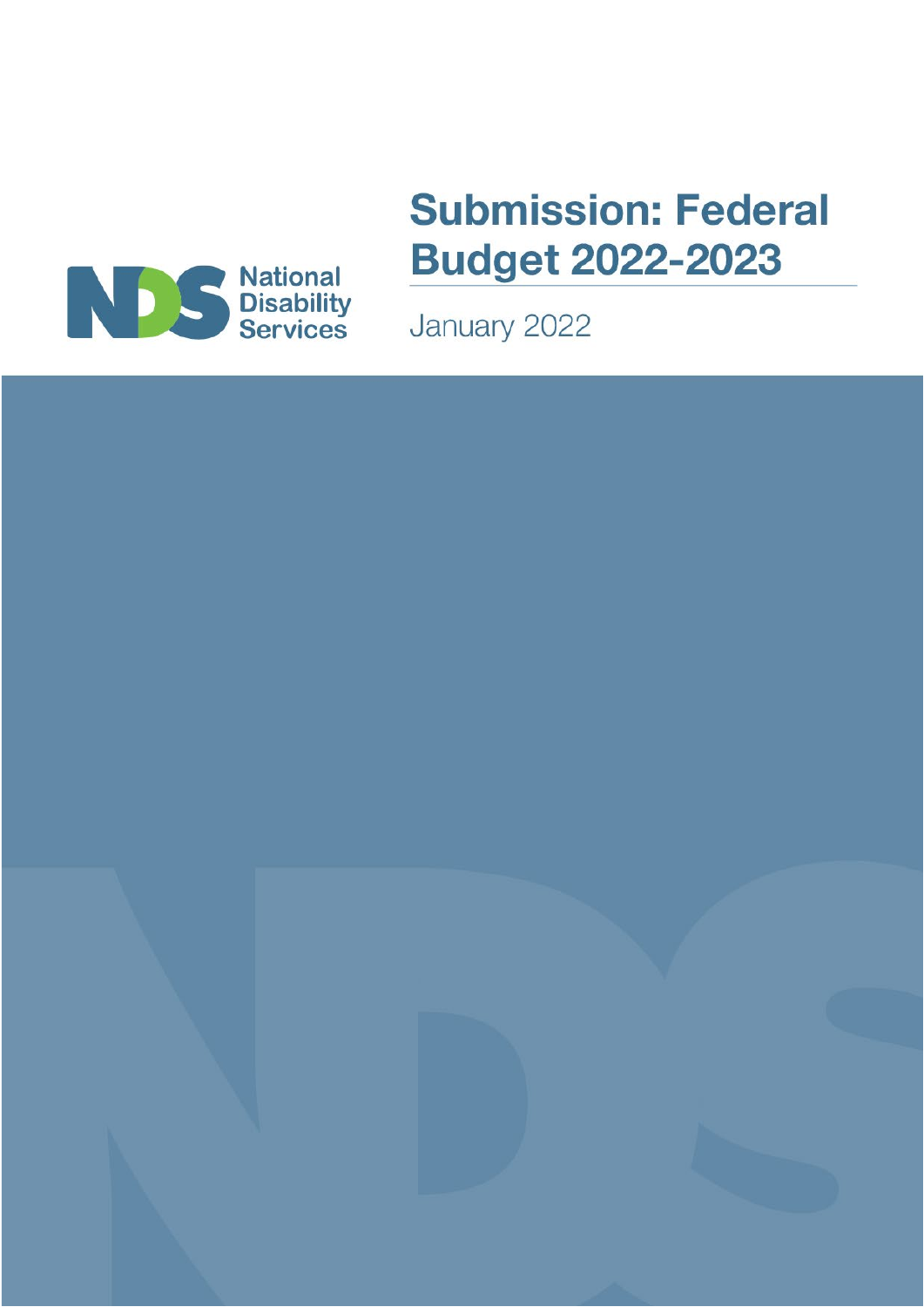

# **Submission: Federal Budget 2022-2023**

January 2022

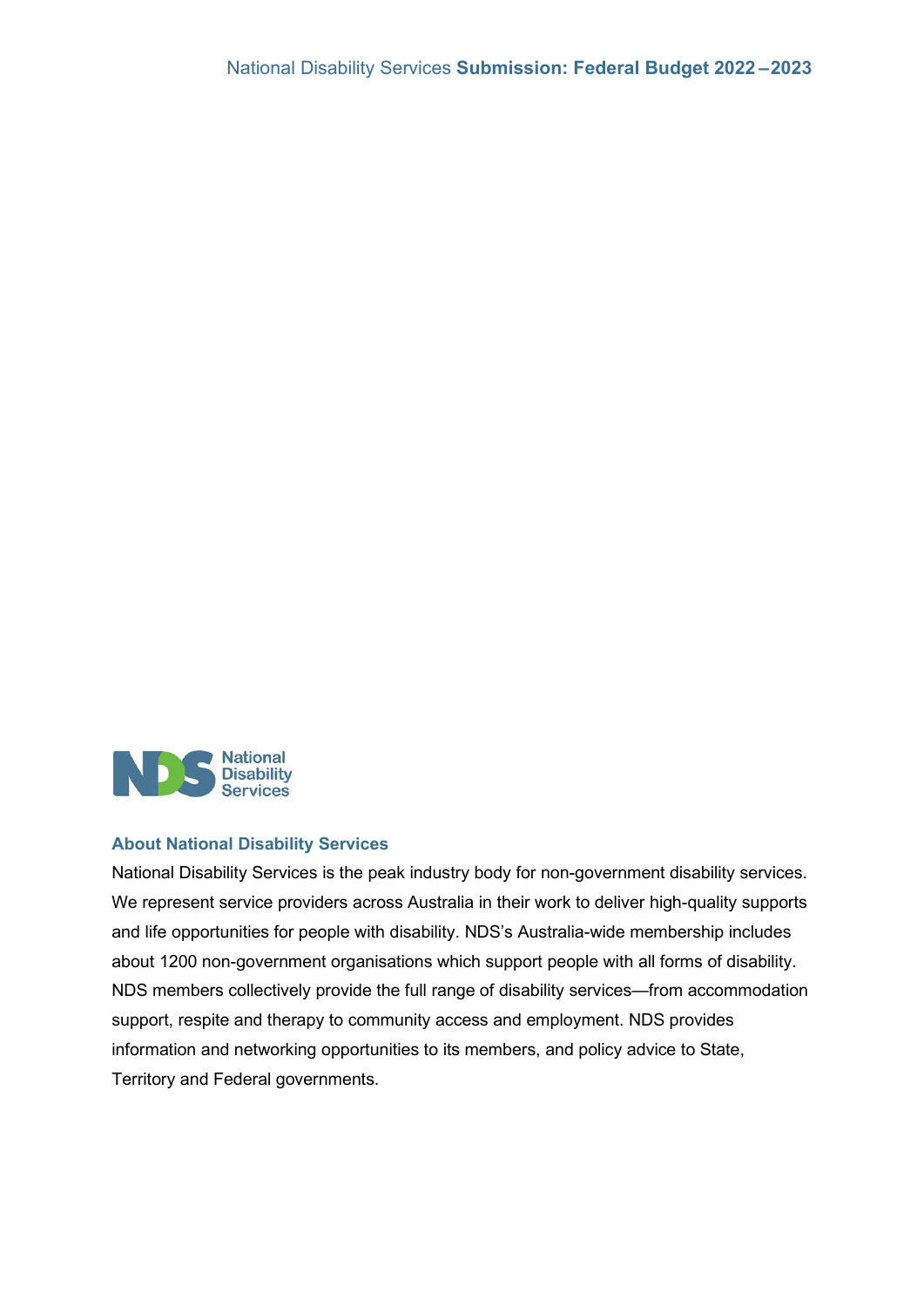

#### **About National Disability Services**

National Disability Services is the peak industry body for non-government disability services. We represent service providers across Australia in their work to deliver high-quality supports and life opportunities for people with disability. NDS's Australia-wide membership includes about 1200 non-government organisations which support people with all forms of disability. NDS members collectively provide the full range of disability services—from accommodation support, respite and therapy to community access and employment. NDS provides information and networking opportunities to its members, and policy advice to State, Territory and Federal governments.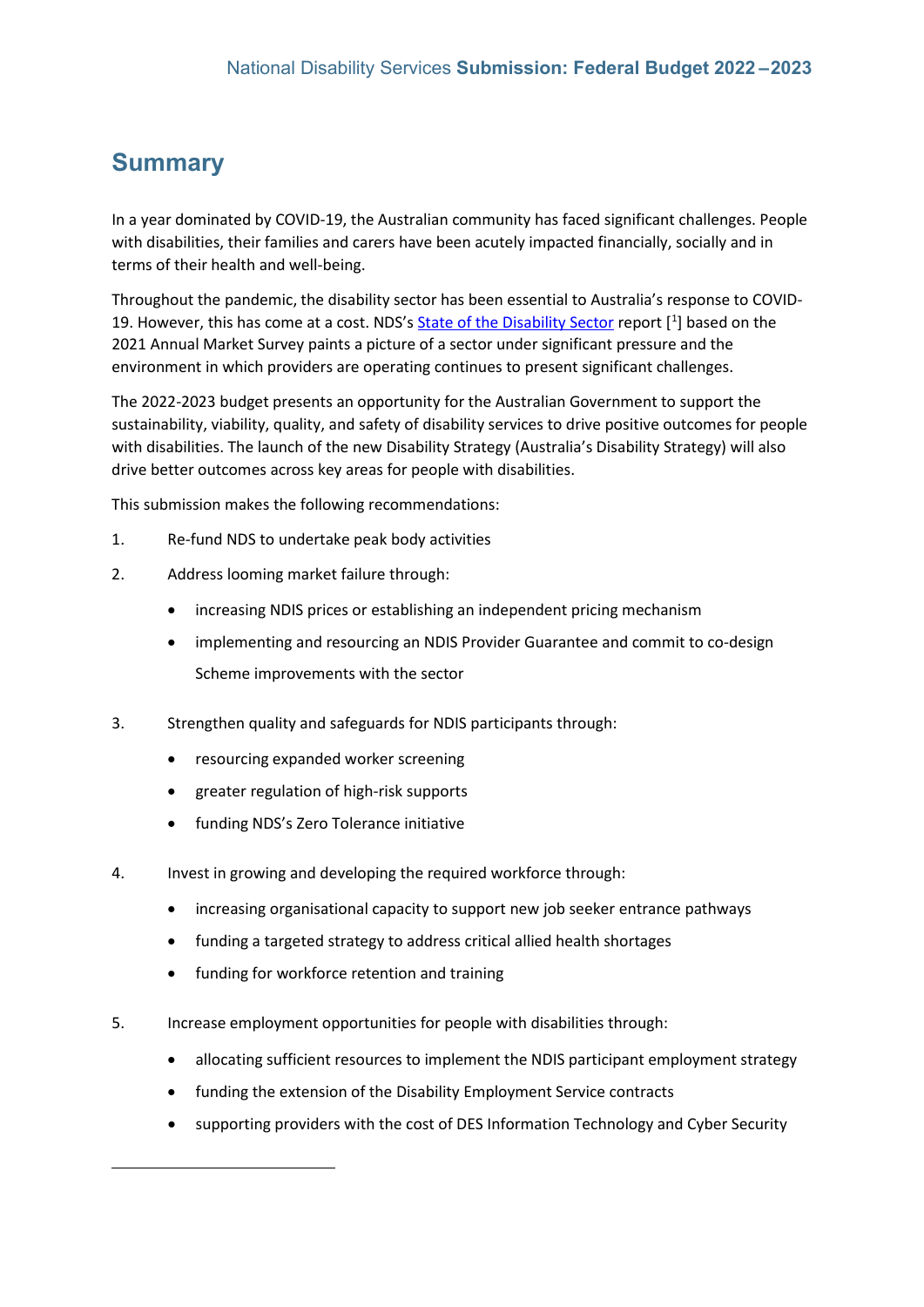## **Summary**

In a year dominated by COVID-19, the Australian community has faced significant challenges. People with disabilities, their families and carers have been acutely impacted financially, socially and in terms of their health and well-being.

Throughout the pandemic, the disability sector has been essential to Australia's response to COVID-[1](#page-2-0)9. However, this has come at a cost. NDS's **State of the Disability Sector** report [<sup>1</sup>] based on the 2021 Annual Market Survey paints a picture of a sector under significant pressure and the environment in which providers are operating continues to present significant challenges.

The 2022-2023 budget presents an opportunity for the Australian Government to support the sustainability, viability, quality, and safety of disability services to drive positive outcomes for people with disabilities. The launch of the new Disability Strategy (Australia's Disability Strategy) will also drive better outcomes across key areas for people with disabilities.

This submission makes the following recommendations:

- 1. Re-fund NDS to undertake peak body activities
- 2. Address looming market failure through:
	- increasing NDIS prices or establishing an independent pricing mechanism
	- implementing and resourcing an NDIS Provider Guarantee and commit to co-design Scheme improvements with the sector
- 3. Strengthen quality and safeguards for NDIS participants through:
	- resourcing expanded worker screening
	- greater regulation of high-risk supports
	- funding NDS's Zero Tolerance initiative
- 4. Invest in growing and developing the required workforce through:
	- increasing organisational capacity to support new job seeker entrance pathways
	- funding a targeted strategy to address critical allied health shortages
	- funding for workforce retention and training
- <span id="page-2-0"></span>5. Increase employment opportunities for people with disabilities through:
	- allocating sufficient resources to implement the NDIS participant employment strategy
	- funding the extension of the Disability Employment Service contracts
	- supporting providers with the cost of DES Information Technology and Cyber Security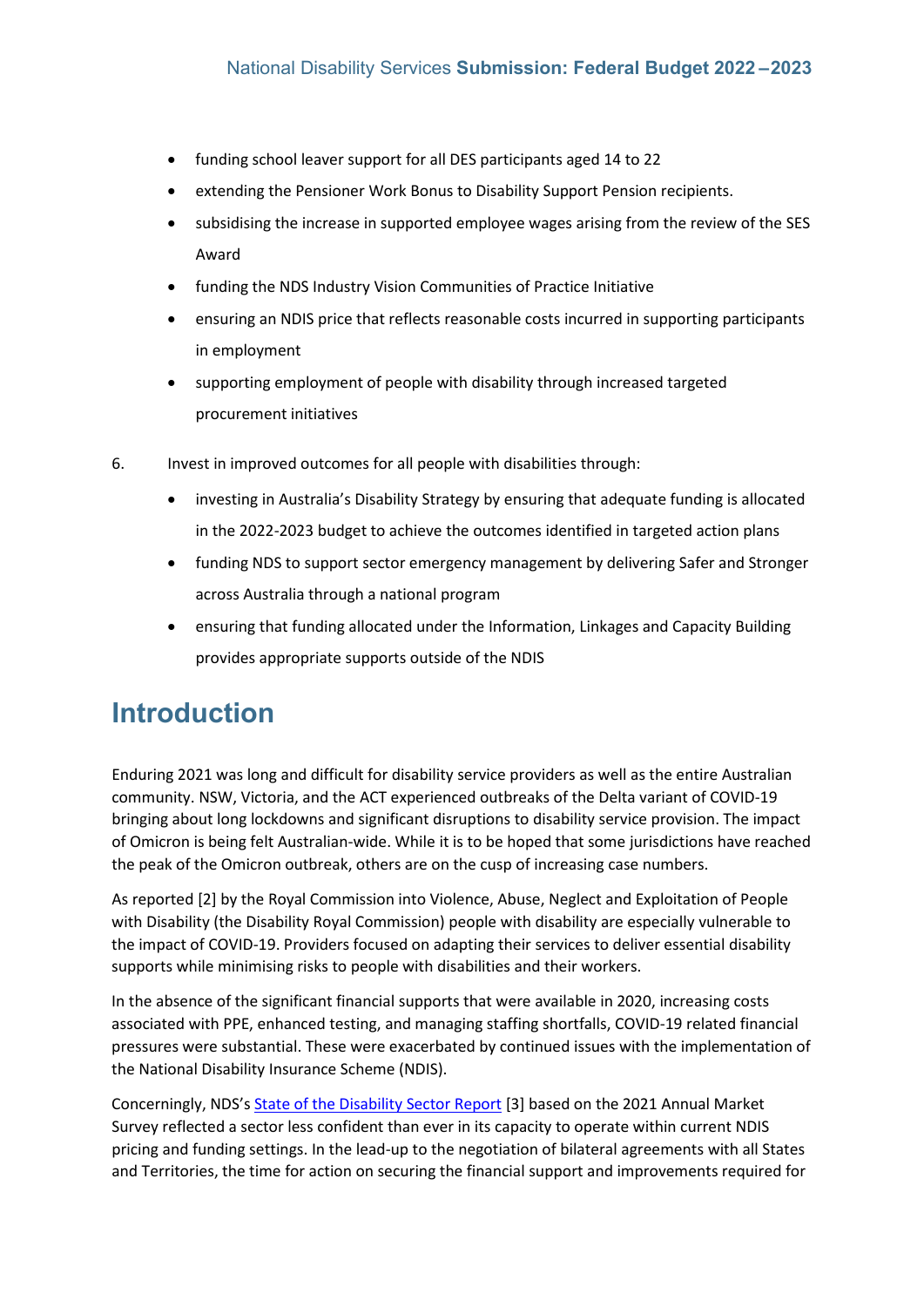- funding school leaver support for all DES participants aged 14 to 22
- extending the Pensioner Work Bonus to Disability Support Pension recipients.
- subsidising the increase in supported employee wages arising from the review of the SES Award
- funding the NDS Industry Vision Communities of Practice Initiative
- ensuring an NDIS price that reflects reasonable costs incurred in supporting participants in employment
- supporting employment of people with disability through increased targeted procurement initiatives
- 6. Invest in improved outcomes for all people with disabilities through:
	- investing in Australia's Disability Strategy by ensuring that adequate funding is allocated in the 2022-2023 budget to achieve the outcomes identified in targeted action plans
	- funding NDS to support sector emergency management by delivering Safer and Stronger across Australia through a national program
	- ensuring that funding allocated under the Information, Linkages and Capacity Building provides appropriate supports outside of the NDIS

## **Introduction**

Enduring 2021 was long and difficult for disability service providers as well as the entire Australian community. NSW, Victoria, and the ACT experienced outbreaks of the Delta variant of COVID-19 bringing about long lockdowns and significant disruptions to disability service provision. The impact of Omicron is being felt Australian-wide. While it is to be hoped that some jurisdictions have reached the peak of the Omicron outbreak, others are on the cusp of increasing case numbers.

As reported [2] by the Royal Commission into Violence, Abuse, Neglect and Exploitation of People with Disability (the Disability Royal Commission) people with disability are especially vulnerable to the impact of COVID-19. Providers focused on adapting their services to deliver essential disability supports while minimising risks to people with disabilities and their workers.

In the absence of the significant financial supports that were available in 2020, increasing costs associated with PPE, enhanced testing, and managing staffing shortfalls, COVID-19 related financial pressures were substantial. These were exacerbated by continued issues with the implementation of the National Disability Insurance Scheme (NDIS).

Concerningly, NDS's [State of the Disability Sector Report](https://www.nds.org.au/about/state-of-the-disability-sector-report) [3] based on the 2021 Annual Market Survey reflected a sector less confident than ever in its capacity to operate within current NDIS pricing and funding settings. In the lead-up to the negotiation of bilateral agreements with all States and Territories, the time for action on securing the financial support and improvements required for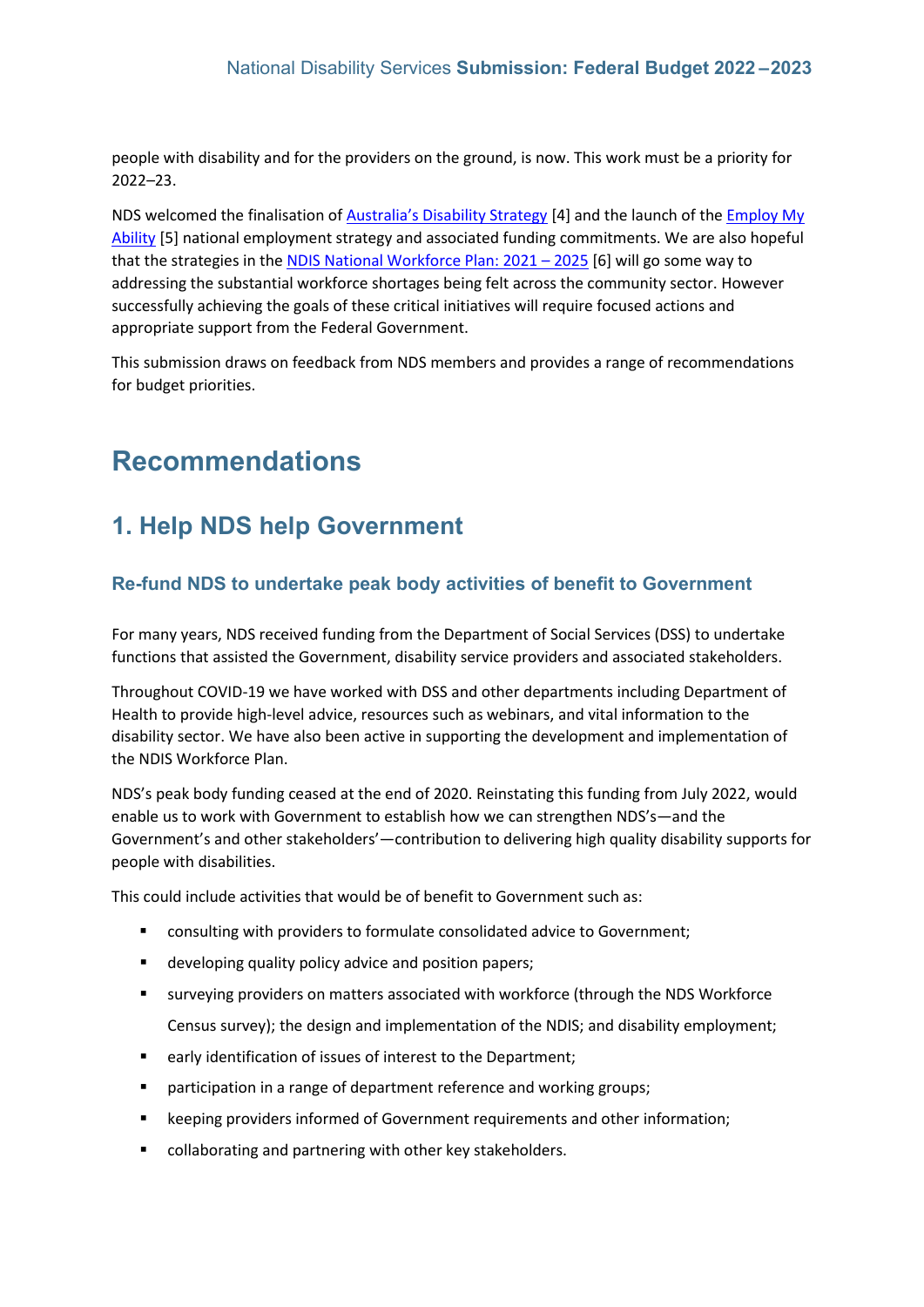people with disability and for the providers on the ground, is now. This work must be a priority for 2022–23.

NDS welcomed the finalisation of [Australia's Disability Strategy](https://www.disabilitygateway.gov.au/ads) [4] and the launch of the [Employ My](https://www.dss.gov.au/disability-and-carers/disability-employment-strategy)  [Ability](https://www.dss.gov.au/disability-and-carers/disability-employment-strategy) [5] national employment strategy and associated funding commitments. We are also hopeful that the strategies in the [NDIS National Workforce Plan: 2021 –](https://www.dss.gov.au/sites/default/files/documents/06_2021/ndis-national-workforce-plan-2021-2025.pdf) 2025 [6] will go some way to addressing the substantial workforce shortages being felt across the community sector. However successfully achieving the goals of these critical initiatives will require focused actions and appropriate support from the Federal Government.

This submission draws on feedback from NDS members and provides a range of recommendations for budget priorities.

## **Recommendations**

## **1. Help NDS help Government**

### **Re-fund NDS to undertake peak body activities of benefit to Government**

For many years, NDS received funding from the Department of Social Services (DSS) to undertake functions that assisted the Government, disability service providers and associated stakeholders.

Throughout COVID-19 we have worked with DSS and other departments including Department of Health to provide high-level advice, resources such as webinars, and vital information to the disability sector. We have also been active in supporting the development and implementation of the NDIS Workforce Plan.

NDS's peak body funding ceased at the end of 2020. Reinstating this funding from July 2022, would enable us to work with Government to establish how we can strengthen NDS's—and the Government's and other stakeholders'—contribution to delivering high quality disability supports for people with disabilities.

This could include activities that would be of benefit to Government such as:

- consulting with providers to formulate consolidated advice to Government;
- $\blacksquare$  developing quality policy advice and position papers;
- surveying providers on matters associated with workforce (through the NDS Workforce Census survey); the design and implementation of the NDIS; and disability employment;
- early identification of issues of interest to the Department;
- **P** participation in a range of department reference and working groups;
- **EXECTER** Exercises informed of Government requirements and other information;
- collaborating and partnering with other key stakeholders.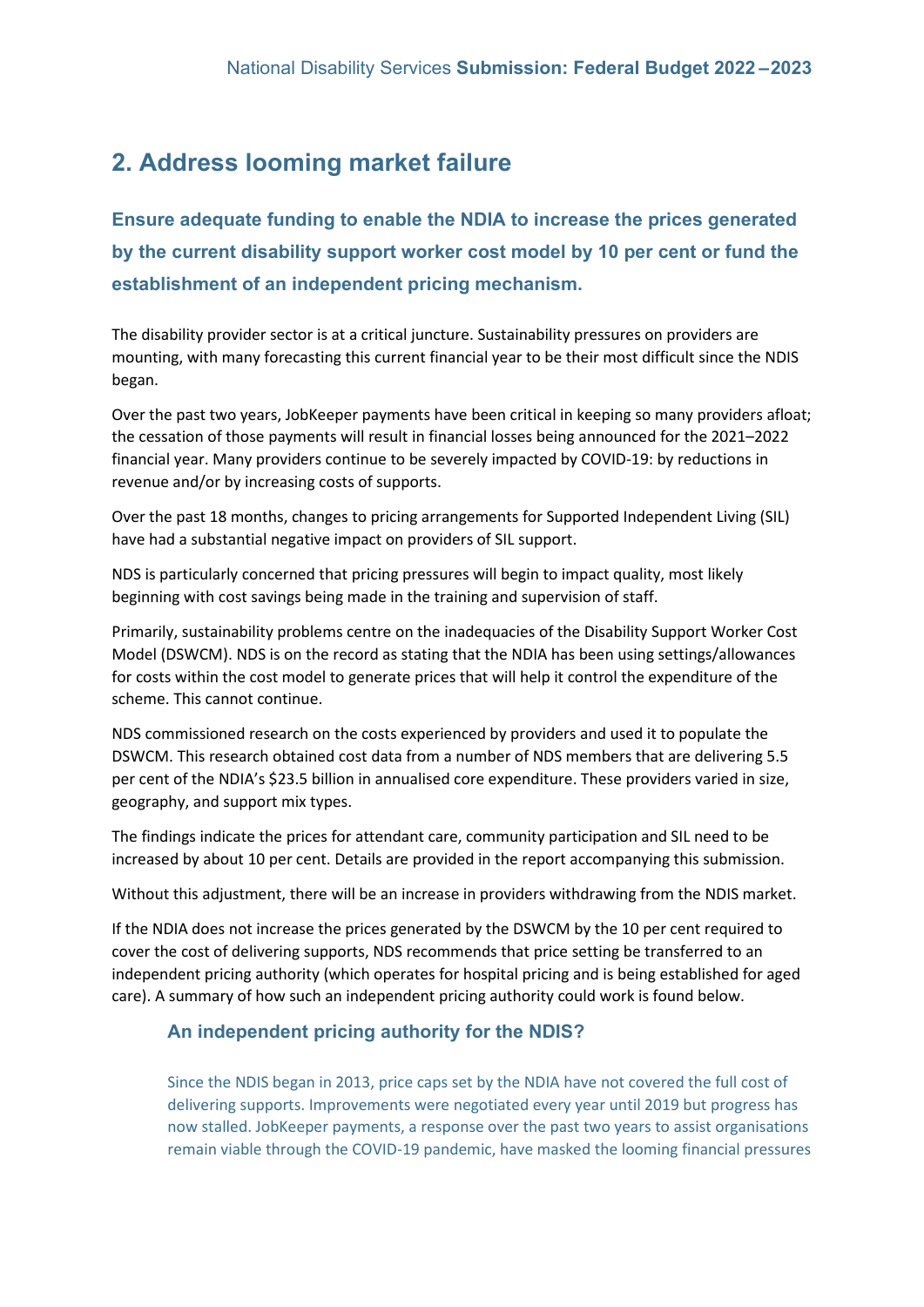## **2. Address looming market failure**

**Ensure adequate funding to enable the NDIA to increase the prices generated by the current disability support worker cost model by 10 per cent or fund the establishment of an independent pricing mechanism.** 

The disability provider sector is at a critical juncture. Sustainability pressures on providers are mounting, with many forecasting this current financial year to be their most difficult since the NDIS began.

Over the past two years, JobKeeper payments have been critical in keeping so many providers afloat; the cessation of those payments will result in financial losses being announced for the 2021–2022 financial year. Many providers continue to be severely impacted by COVID-19: by reductions in revenue and/or by increasing costs of supports.

Over the past 18 months, changes to pricing arrangements for Supported Independent Living (SIL) have had a substantial negative impact on providers of SIL support.

NDS is particularly concerned that pricing pressures will begin to impact quality, most likely beginning with cost savings being made in the training and supervision of staff.

Primarily, sustainability problems centre on the inadequacies of the Disability Support Worker Cost Model (DSWCM). NDS is on the record as stating that the NDIA has been using settings/allowances for costs within the cost model to generate prices that will help it control the expenditure of the scheme. This cannot continue.

NDS commissioned research on the costs experienced by providers and used it to populate the DSWCM. This research obtained cost data from a number of NDS members that are delivering 5.5 per cent of the NDIA's \$23.5 billion in annualised core expenditure. These providers varied in size, geography, and support mix types.

The findings indicate the prices for attendant care, community participation and SIL need to be increased by about 10 per cent. Details are provided in the report accompanying this submission.

Without this adjustment, there will be an increase in providers withdrawing from the NDIS market.

If the NDIA does not increase the prices generated by the DSWCM by the 10 per cent required to cover the cost of delivering supports, NDS recommends that price setting be transferred to an independent pricing authority (which operates for hospital pricing and is being established for aged care). A summary of how such an independent pricing authority could work is found below.

### **An independent pricing authority for the NDIS?**

Since the NDIS began in 2013, price caps set by the NDIA have not covered the full cost of delivering supports. Improvements were negotiated every year until 2019 but progress has now stalled. JobKeeper payments, a response over the past two years to assist organisations remain viable through the COVID-19 pandemic, have masked the looming financial pressures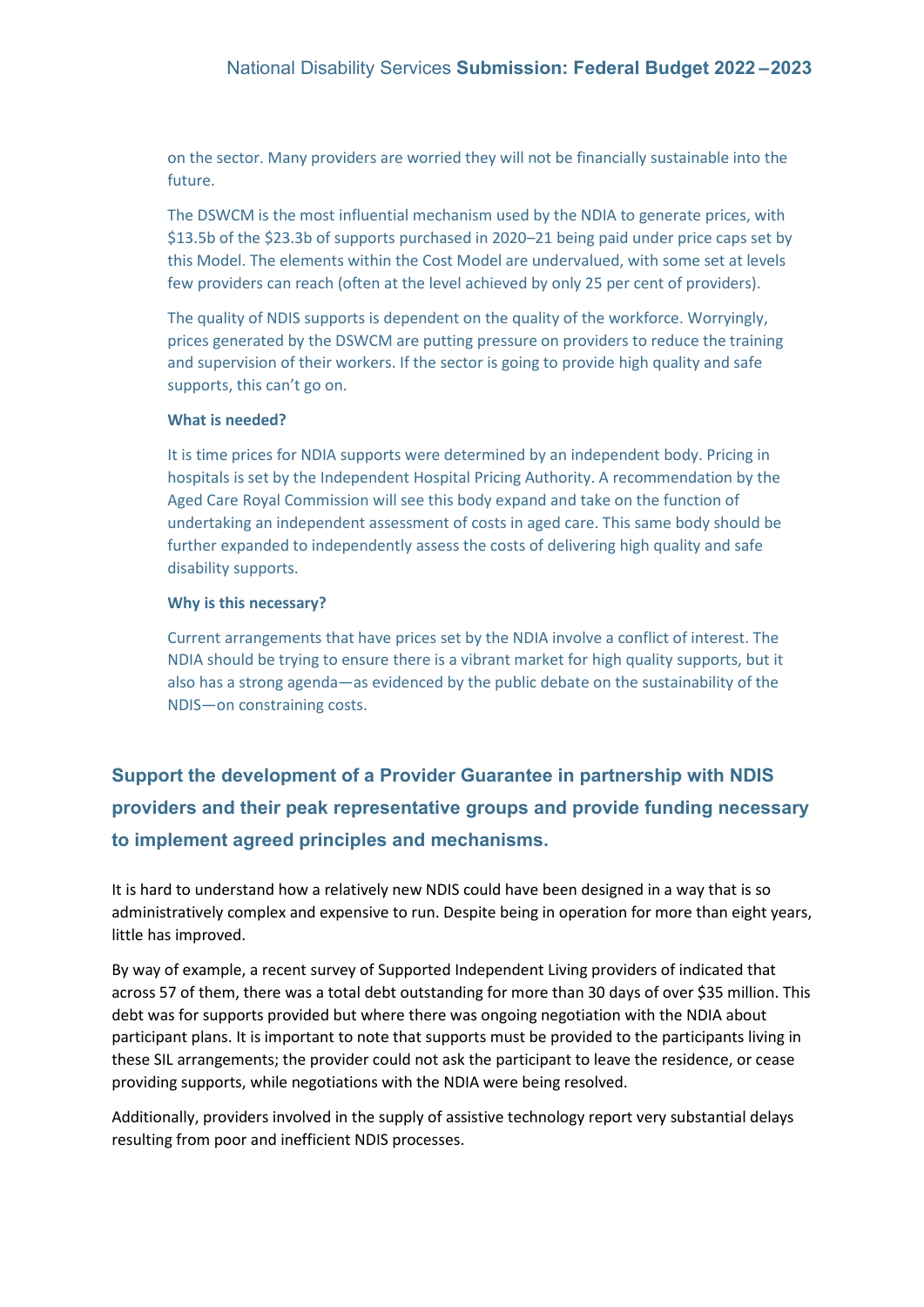on the sector. Many providers are worried they will not be financially sustainable into the future.

The DSWCM is the most influential mechanism used by the NDIA to generate prices, with \$13.5b of the \$23.3b of supports purchased in 2020–21 being paid under price caps set by this Model. The elements within the Cost Model are undervalued, with some set at levels few providers can reach (often at the level achieved by only 25 per cent of providers).

The quality of NDIS supports is dependent on the quality of the workforce. Worryingly, prices generated by the DSWCM are putting pressure on providers to reduce the training and supervision of their workers. If the sector is going to provide high quality and safe supports, this can't go on.

#### **What is needed?**

It is time prices for NDIA supports were determined by an independent body. Pricing in hospitals is set by the Independent Hospital Pricing Authority. A recommendation by the Aged Care Royal Commission will see this body expand and take on the function of undertaking an independent assessment of costs in aged care. This same body should be further expanded to independently assess the costs of delivering high quality and safe disability supports.

#### **Why is this necessary?**

Current arrangements that have prices set by the NDIA involve a conflict of interest. The NDIA should be trying to ensure there is a vibrant market for high quality supports, but it also has a strong agenda—as evidenced by the public debate on the sustainability of the NDIS—on constraining costs.

**Support the development of a Provider Guarantee in partnership with NDIS providers and their peak representative groups and provide funding necessary to implement agreed principles and mechanisms.** 

It is hard to understand how a relatively new NDIS could have been designed in a way that is so administratively complex and expensive to run. Despite being in operation for more than eight years, little has improved.

By way of example, a recent survey of Supported Independent Living providers of indicated that across 57 of them, there was a total debt outstanding for more than 30 days of over \$35 million. This debt was for supports provided but where there was ongoing negotiation with the NDIA about participant plans. It is important to note that supports must be provided to the participants living in these SIL arrangements; the provider could not ask the participant to leave the residence, or cease providing supports, while negotiations with the NDIA were being resolved.

Additionally, providers involved in the supply of assistive technology report very substantial delays resulting from poor and inefficient NDIS processes.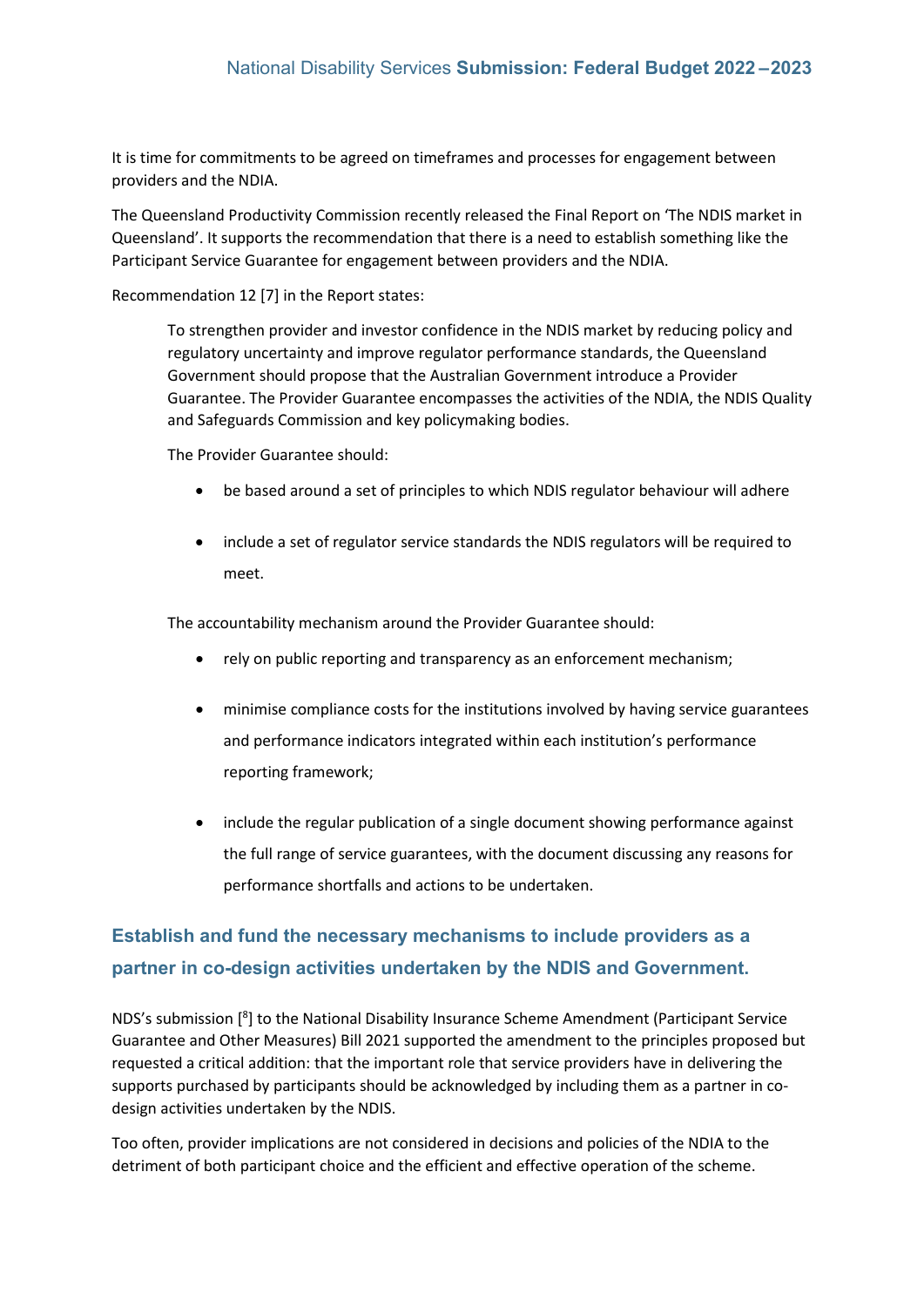It is time for commitments to be agreed on timeframes and processes for engagement between providers and the NDIA.

The Queensland Productivity Commission recently released the Final Report on 'The NDIS market in Queensland'. It supports the recommendation that there is a need to establish something like the Participant Service Guarantee for engagement between providers and the NDIA.

Recommendation 12 [7] in the Report states:

To strengthen provider and investor confidence in the NDIS market by reducing policy and regulatory uncertainty and improve regulator performance standards, the Queensland Government should propose that the Australian Government introduce a Provider Guarantee. The Provider Guarantee encompasses the activities of the NDIA, the NDIS Quality and Safeguards Commission and key policymaking bodies.

The Provider Guarantee should:

- be based around a set of principles to which NDIS regulator behaviour will adhere
- include a set of regulator service standards the NDIS regulators will be required to meet.

The accountability mechanism around the Provider Guarantee should:

- rely on public reporting and transparency as an enforcement mechanism;
- minimise compliance costs for the institutions involved by having service guarantees and performance indicators integrated within each institution's performance reporting framework;
- include the regular publication of a single document showing performance against the full range of service guarantees, with the document discussing any reasons for performance shortfalls and actions to be undertaken.

### **Establish and fund the necessary mechanisms to include providers as a partner in co-design activities undertaken by the NDIS and Government.**

NDS's submission [8] to the National Disability Insurance Scheme Amendment (Participant Service Guarantee and Other Measures) Bill 2021 supported the amendment to the principles proposed but requested a critical addition: that the important role that service providers have in delivering the supports purchased by participants should be acknowledged by including them as a partner in codesign activities undertaken by the NDIS.

Too often, provider implications are not considered in decisions and policies of the NDIA to the detriment of both participant choice and the efficient and effective operation of the scheme.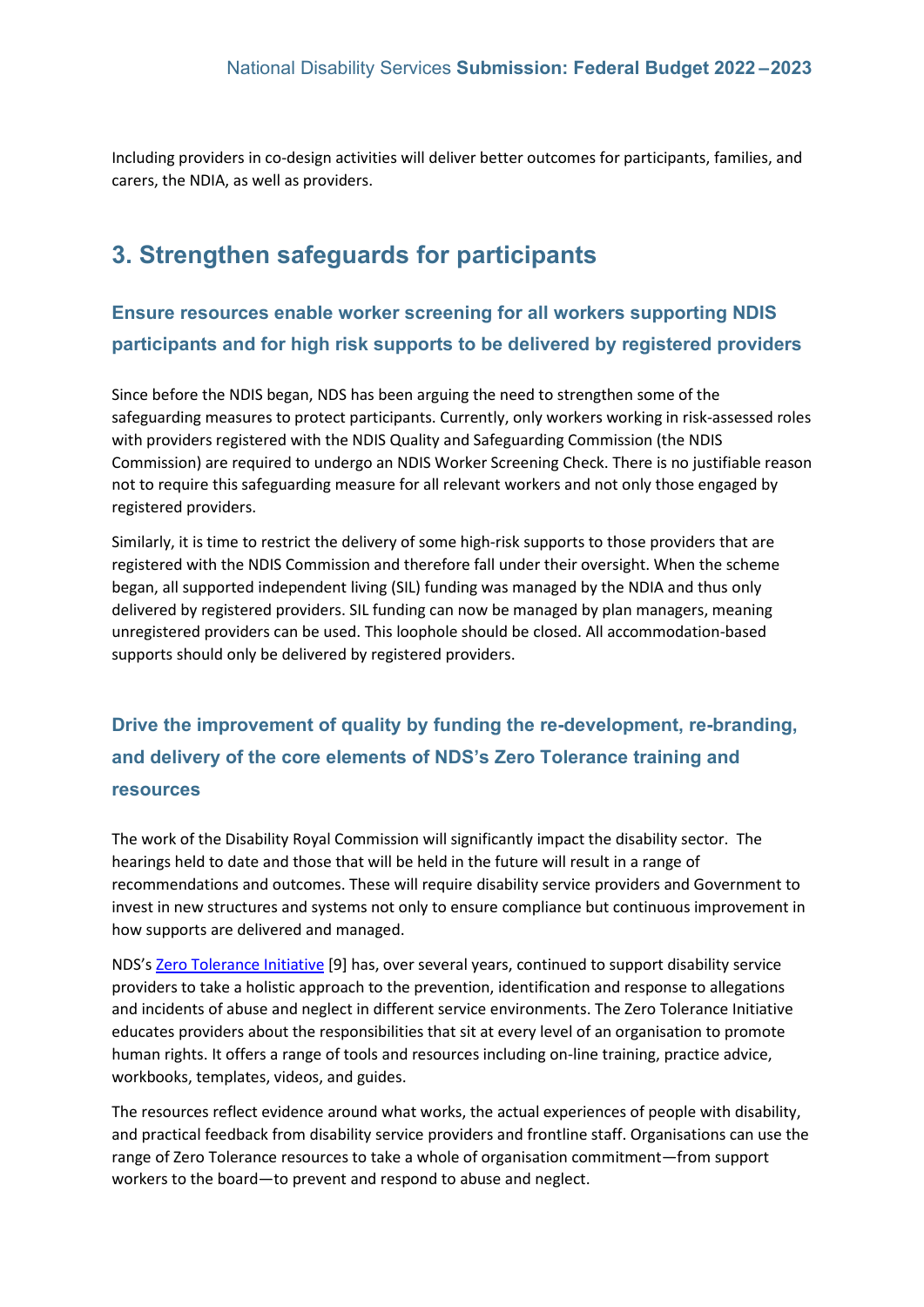Including providers in co-design activities will deliver better outcomes for participants, families, and carers, the NDIA, as well as providers.

## **3. Strengthen safeguards for participants**

## **Ensure resources enable worker screening for all workers supporting NDIS participants and for high risk supports to be delivered by registered providers**

Since before the NDIS began, NDS has been arguing the need to strengthen some of the safeguarding measures to protect participants. Currently, only workers working in risk-assessed roles with providers registered with the NDIS Quality and Safeguarding Commission (the NDIS Commission) are required to undergo an NDIS Worker Screening Check. There is no justifiable reason not to require this safeguarding measure for all relevant workers and not only those engaged by registered providers.

Similarly, it is time to restrict the delivery of some high-risk supports to those providers that are registered with the NDIS Commission and therefore fall under their oversight. When the scheme began, all supported independent living (SIL) funding was managed by the NDIA and thus only delivered by registered providers. SIL funding can now be managed by plan managers, meaning unregistered providers can be used. This loophole should be closed. All accommodation-based supports should only be delivered by registered providers.

## **Drive the improvement of quality by funding the re-development, re-branding, and delivery of the core elements of NDS's Zero Tolerance training and resources**

The work of the Disability Royal Commission will significantly impact the disability sector. The hearings held to date and those that will be held in the future will result in a range of recommendations and outcomes. These will require disability service providers and Government to invest in new structures and systems not only to ensure compliance but continuous improvement in how supports are delivered and managed.

NDS'[s Zero Tolerance Initiative](https://www.nds.org.au/resources/zero-tolerance) [9] has, over several years, continued to support disability service providers to take a holistic approach to the prevention, identification and response to allegations and incidents of abuse and neglect in different service environments. The Zero Tolerance Initiative educates providers about the responsibilities that sit at every level of an organisation to promote human rights. It offers a range of tools and resources including on-line training, practice advice, workbooks, templates, videos, and guides.

The resources reflect evidence around what works, the actual experiences of people with disability, and practical feedback from disability service providers and frontline staff. Organisations can use the range of Zero Tolerance resources to take a whole of organisation commitment—from support workers to the board—to prevent and respond to abuse and neglect.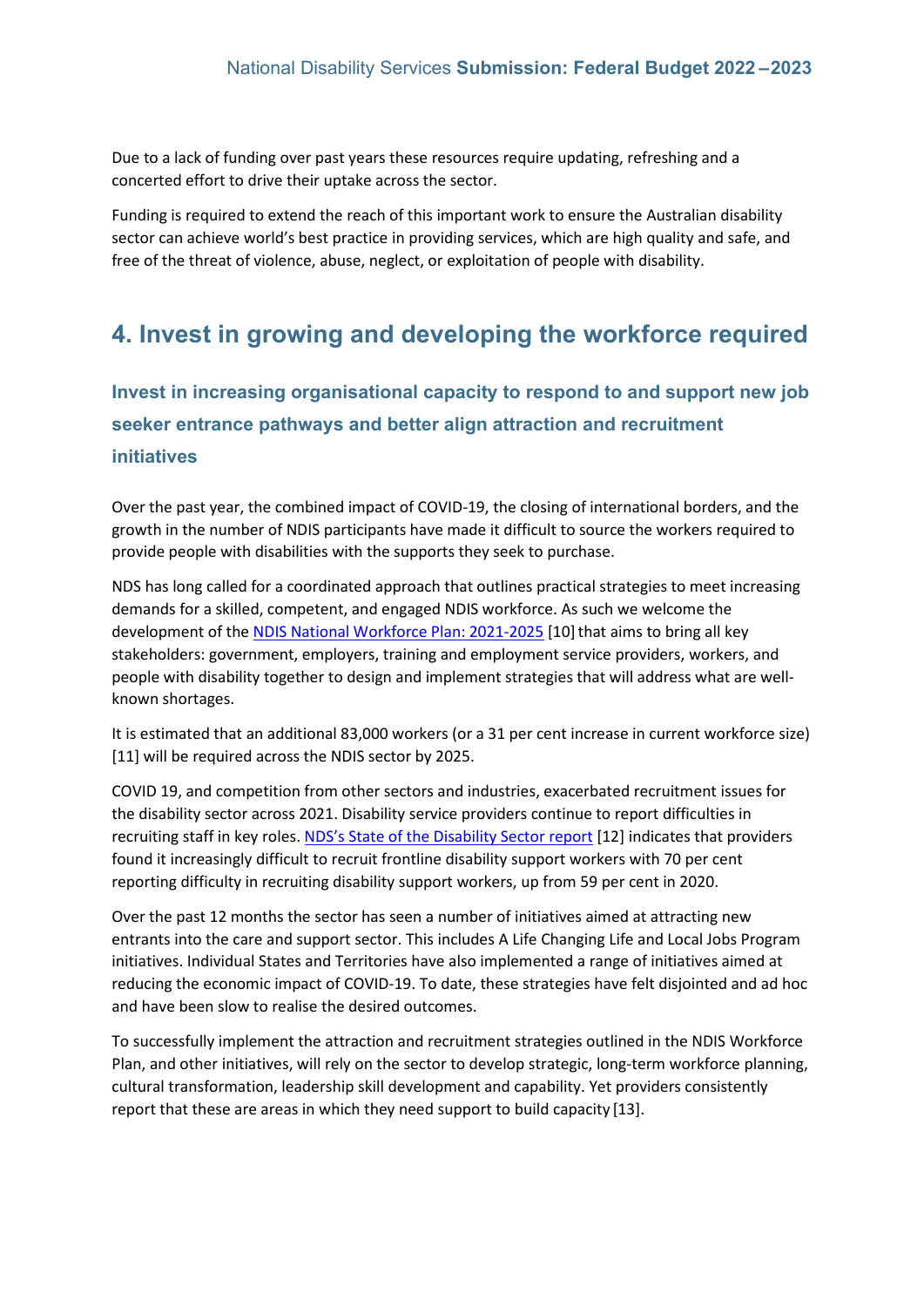Due to a lack of funding over past years these resources require updating, refreshing and a concerted effort to drive their uptake across the sector.

Funding is required to extend the reach of this important work to ensure the Australian disability sector can achieve world's best practice in providing services, which are high quality and safe, and free of the threat of violence, abuse, neglect, or exploitation of people with disability.

## **4. Invest in growing and developing the workforce required**

**Invest in increasing organisational capacity to respond to and support new job seeker entrance pathways and better align attraction and recruitment initiatives**

Over the past year, the combined impact of COVID-19, the closing of international borders, and the growth in the number of NDIS participants have made it difficult to source the workers required to provide people with disabilities with the supports they seek to purchase.

NDS has long called for a coordinated approach that outlines practical strategies to meet increasing demands for a skilled, competent, and engaged NDIS workforce. As such we welcome the development of the [NDIS National Workforce Plan: 2021-2025](https://www.dss.gov.au/sites/default/files/documents/06_2021/ndis-national-workforce-plan-2021-2025.pdf) [10] that aims to bring all key stakeholders: government, employers, training and employment service providers, workers, and people with disability together to design and implement strategies that will address what are wellknown shortages.

It is estimated that an additional 83,000 workers (or a 31 per cent increase in current workforce size) [11] will be required across the NDIS sector by 2025.

COVID 19, and competition from other sectors and industries, exacerbated recruitment issues for the disability sector across 2021. Disability service providers continue to report difficulties in recruiting staff in key roles. [NDS's State of the Disability Sector r](https://www.nds.org.au/about/state-of-the-disability-sector-report)eport [12] indicates that providers found it increasingly difficult to recruit frontline disability support workers with 70 per cent reporting difficulty in recruiting disability support workers, up from 59 per cent in 2020.

Over the past 12 months the sector has seen a number of initiatives aimed at attracting new entrants into the care and support sector. This includes A Life Changing Life and Local Jobs Program initiatives. Individual States and Territories have also implemented a range of initiatives aimed at reducing the economic impact of COVID-19. To date, these strategies have felt disjointed and ad hoc and have been slow to realise the desired outcomes.

To successfully implement the attraction and recruitment strategies outlined in the NDIS Workforce Plan, and other initiatives, will rely on the sector to develop strategic, long-term workforce planning, cultural transformation, leadership skill development and capability. Yet providers consistently report that these are areas in which they need support to build capacity [13].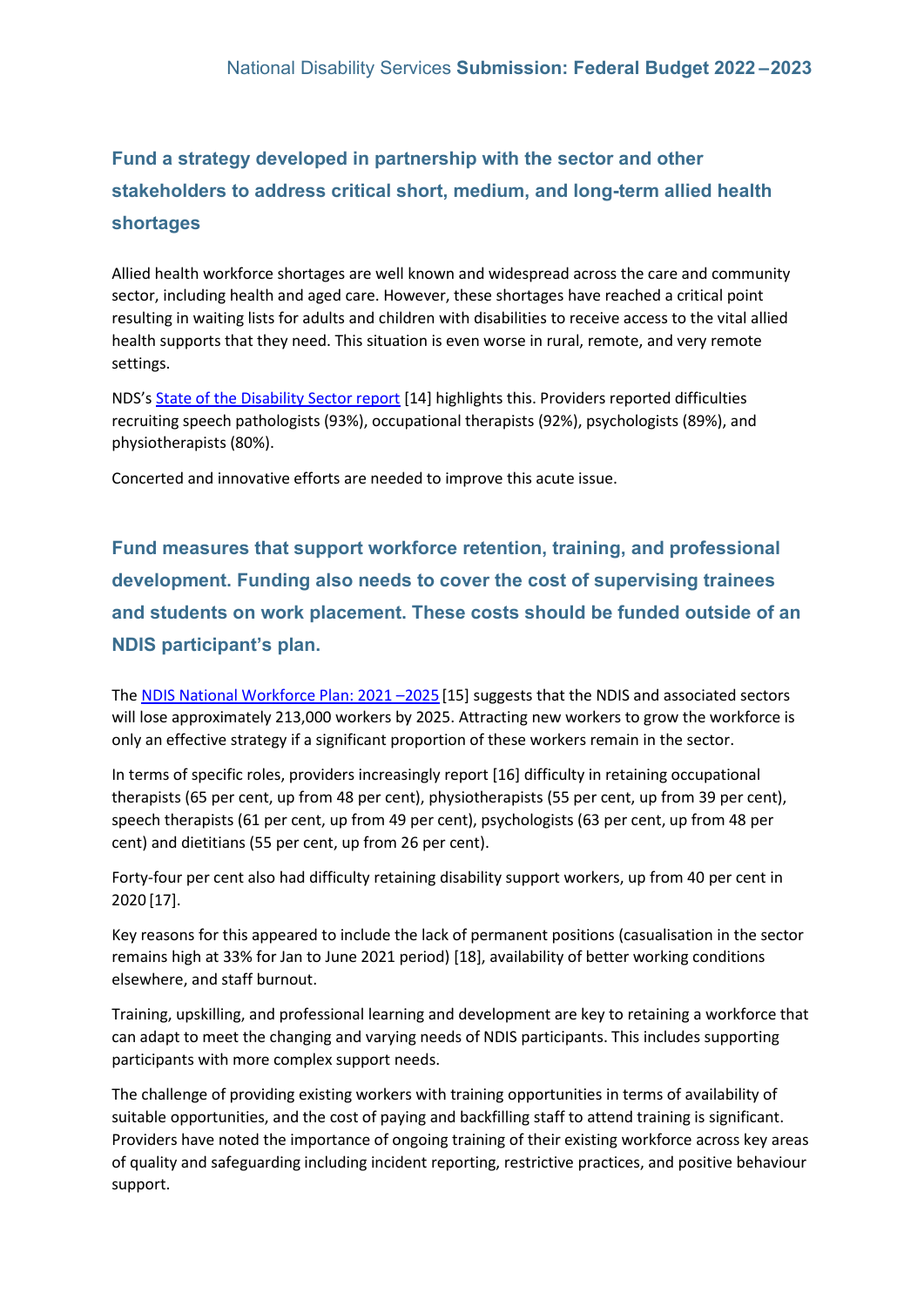## **Fund a strategy developed in partnership with the sector and other stakeholders to address critical short, medium, and long-term allied health shortages**

Allied health workforce shortages are well known and widespread across the care and community sector, including health and aged care. However, these shortages have reached a critical point resulting in waiting lists for adults and children with disabilities to receive access to the vital allied health supports that they need. This situation is even worse in rural, remote, and very remote settings.

NDS'[s State of the Disability Sector report](https://ndsorg-my.sharepoint.com/personal/philippa_angley_nds_org_au/Documents/H%20Drive/Desktop/NDS%20State%20of%20the%20Disability%20Sector%20Report) [14] highlights this. Providers reported difficulties recruiting speech pathologists (93%), occupational therapists (92%), psychologists (89%), and physiotherapists (80%).

Concerted and innovative efforts are needed to improve this acute issue.

**Fund measures that support workforce retention, training, and professional development. Funding also needs to cover the cost of supervising trainees and students on work placement. These costs should be funded outside of an NDIS participant's plan.** 

The [NDIS National Workforce Plan: 2021 –2025](https://www.dss.gov.au/sites/default/files/documents/06_2021/ndis-national-workforce-plan-2021-2025.pdf) [15] suggests that the NDIS and associated sectors will lose approximately 213,000 workers by 2025. Attracting new workers to grow the workforce is only an effective strategy if a significant proportion of these workers remain in the sector.

In terms of specific roles, providers increasingly report [16] difficulty in retaining occupational therapists (65 per cent, up from 48 per cent), physiotherapists (55 per cent, up from 39 per cent), speech therapists (61 per cent, up from 49 per cent), psychologists (63 per cent, up from 48 per cent) and dietitians (55 per cent, up from 26 per cent).

Forty-four per cent also had difficulty retaining disability support workers, up from 40 per cent in 2020 [17].

Key reasons for this appeared to include the lack of permanent positions (casualisation in the sector remains high at 33% for Jan to June 2021 period) [18], availability of better working conditions elsewhere, and staff burnout.

Training, upskilling, and professional learning and development are key to retaining a workforce that can adapt to meet the changing and varying needs of NDIS participants. This includes supporting participants with more complex support needs.

The challenge of providing existing workers with training opportunities in terms of availability of suitable opportunities, and the cost of paying and backfilling staff to attend training is significant. Providers have noted the importance of ongoing training of their existing workforce across key areas of quality and safeguarding including incident reporting, restrictive practices, and positive behaviour support.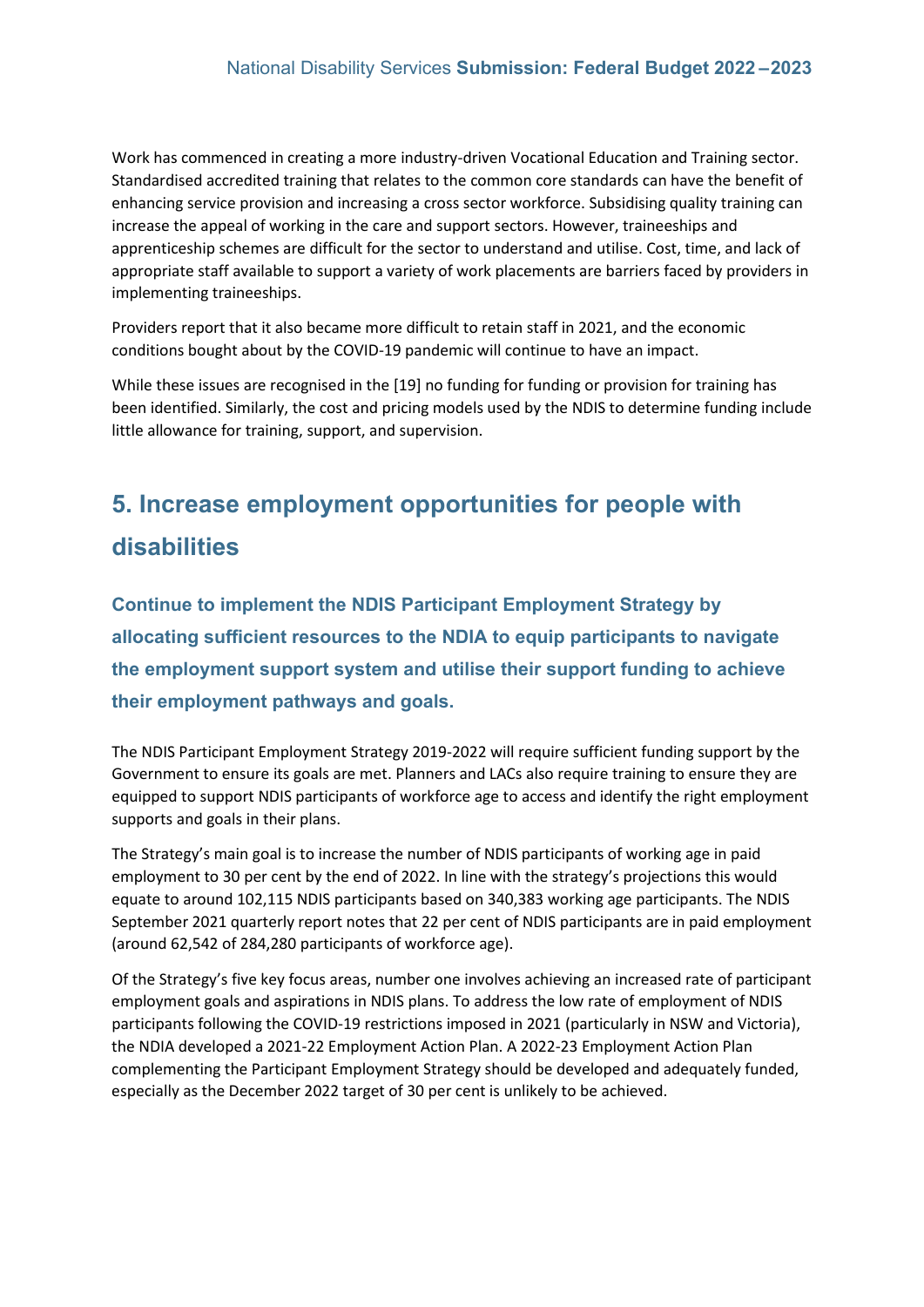Work has commenced in creating a more industry-driven Vocational Education and Training sector. Standardised accredited training that relates to the common core standards can have the benefit of enhancing service provision and increasing a cross sector workforce. Subsidising quality training can increase the appeal of working in the care and support sectors. However, traineeships and apprenticeship schemes are difficult for the sector to understand and utilise. Cost, time, and lack of appropriate staff available to support a variety of work placements are barriers faced by providers in implementing traineeships.

Providers report that it also became more difficult to retain staff in 2021, and the economic conditions bought about by the COVID-19 pandemic will continue to have an impact.

While these issues are recognised in the [19] no funding for funding or provision for training has been identified. Similarly, the cost and pricing models used by the NDIS to determine funding include little allowance for training, support, and supervision.

## **5. Increase employment opportunities for people with disabilities**

**Continue to implement the NDIS Participant Employment Strategy by allocating sufficient resources to the NDIA to equip participants to navigate the employment support system and utilise their support funding to achieve their employment pathways and goals.** 

The NDIS Participant Employment Strategy 2019-2022 will require sufficient funding support by the Government to ensure its goals are met. Planners and LACs also require training to ensure they are equipped to support NDIS participants of workforce age to access and identify the right employment supports and goals in their plans.

The Strategy's main goal is to increase the number of NDIS participants of working age in paid employment to 30 per cent by the end of 2022. In line with the strategy's projections this would equate to around 102,115 NDIS participants based on 340,383 working age participants. The NDIS September 2021 quarterly report notes that 22 per cent of NDIS participants are in paid employment (around 62,542 of 284,280 participants of workforce age).

Of the Strategy's five key focus areas, number one involves achieving an increased rate of participant employment goals and aspirations in NDIS plans. To address the low rate of employment of NDIS participants following the COVID-19 restrictions imposed in 2021 (particularly in NSW and Victoria), the NDIA developed a 2021-22 Employment Action Plan. A 2022-23 Employment Action Plan complementing the Participant Employment Strategy should be developed and adequately funded, especially as the December 2022 target of 30 per cent is unlikely to be achieved.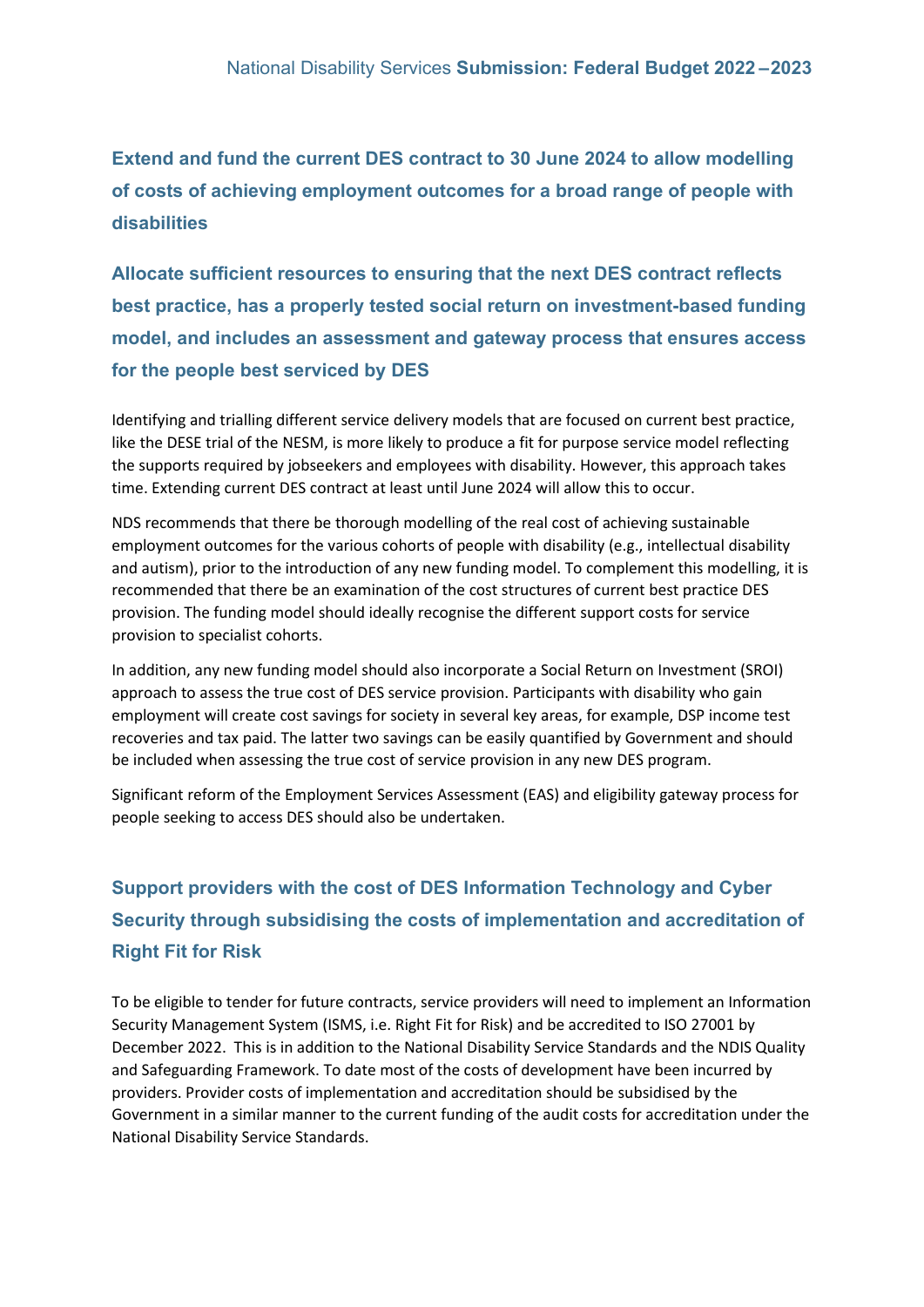**Extend and fund the current DES contract to 30 June 2024 to allow modelling of costs of achieving employment outcomes for a broad range of people with disabilities**

**Allocate sufficient resources to ensuring that the next DES contract reflects best practice, has a properly tested social return on investment-based funding model, and includes an assessment and gateway process that ensures access for the people best serviced by DES**

Identifying and trialling different service delivery models that are focused on current best practice, like the DESE trial of the NESM, is more likely to produce a fit for purpose service model reflecting the supports required by jobseekers and employees with disability. However, this approach takes time. Extending current DES contract at least until June 2024 will allow this to occur.

NDS recommends that there be thorough modelling of the real cost of achieving sustainable employment outcomes for the various cohorts of people with disability (e.g., intellectual disability and autism), prior to the introduction of any new funding model. To complement this modelling, it is recommended that there be an examination of the cost structures of current best practice DES provision. The funding model should ideally recognise the different support costs for service provision to specialist cohorts.

In addition, any new funding model should also incorporate a Social Return on Investment (SROI) approach to assess the true cost of DES service provision. Participants with disability who gain employment will create cost savings for society in several key areas, for example, DSP income test recoveries and tax paid. The latter two savings can be easily quantified by Government and should be included when assessing the true cost of service provision in any new DES program.

Significant reform of the Employment Services Assessment (EAS) and eligibility gateway process for people seeking to access DES should also be undertaken.

## **Support providers with the cost of DES Information Technology and Cyber Security through subsidising the costs of implementation and accreditation of Right Fit for Risk**

To be eligible to tender for future contracts, service providers will need to implement an Information Security Management System (ISMS, i.e. Right Fit for Risk) and be accredited to ISO 27001 by December 2022. This is in addition to the National Disability Service Standards and the NDIS Quality and Safeguarding Framework. To date most of the costs of development have been incurred by providers. Provider costs of implementation and accreditation should be subsidised by the Government in a similar manner to the current funding of the audit costs for accreditation under the National Disability Service Standards.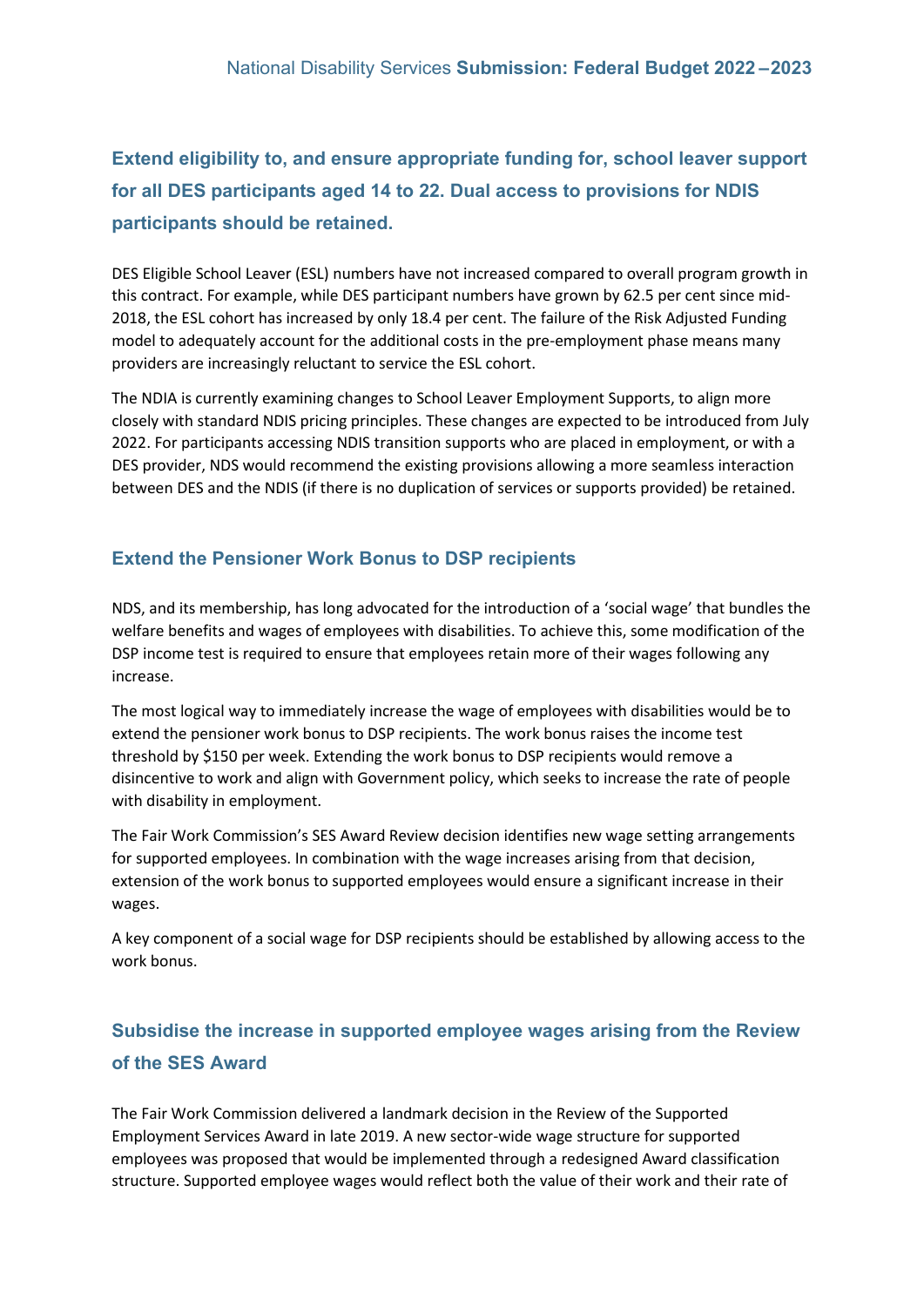**Extend eligibility to, and ensure appropriate funding for, school leaver support for all DES participants aged 14 to 22. Dual access to provisions for NDIS participants should be retained.**

DES Eligible School Leaver (ESL) numbers have not increased compared to overall program growth in this contract. For example, while DES participant numbers have grown by 62.5 per cent since mid-2018, the ESL cohort has increased by only 18.4 per cent. The failure of the Risk Adjusted Funding model to adequately account for the additional costs in the pre-employment phase means many providers are increasingly reluctant to service the ESL cohort.

The NDIA is currently examining changes to School Leaver Employment Supports, to align more closely with standard NDIS pricing principles. These changes are expected to be introduced from July 2022. For participants accessing NDIS transition supports who are placed in employment, or with a DES provider, NDS would recommend the existing provisions allowing a more seamless interaction between DES and the NDIS (if there is no duplication of services or supports provided) be retained.

### **Extend the Pensioner Work Bonus to DSP recipients**

NDS, and its membership, has long advocated for the introduction of a 'social wage' that bundles the welfare benefits and wages of employees with disabilities. To achieve this, some modification of the DSP income test is required to ensure that employees retain more of their wages following any increase.

The most logical way to immediately increase the wage of employees with disabilities would be to extend the pensioner work bonus to DSP recipients. The work bonus raises the income test threshold by \$150 per week. Extending the work bonus to DSP recipients would remove a disincentive to work and align with Government policy, which seeks to increase the rate of people with disability in employment.

The Fair Work Commission's SES Award Review decision identifies new wage setting arrangements for supported employees. In combination with the wage increases arising from that decision, extension of the work bonus to supported employees would ensure a significant increase in their wages.

A key component of a social wage for DSP recipients should be established by allowing access to the work bonus.

### **Subsidise the increase in supported employee wages arising from the Review of the SES Award**

The Fair Work Commission delivered a landmark decision in the Review of the Supported Employment Services Award in late 2019. A new sector-wide wage structure for supported employees was proposed that would be implemented through a redesigned Award classification structure. Supported employee wages would reflect both the value of their work and their rate of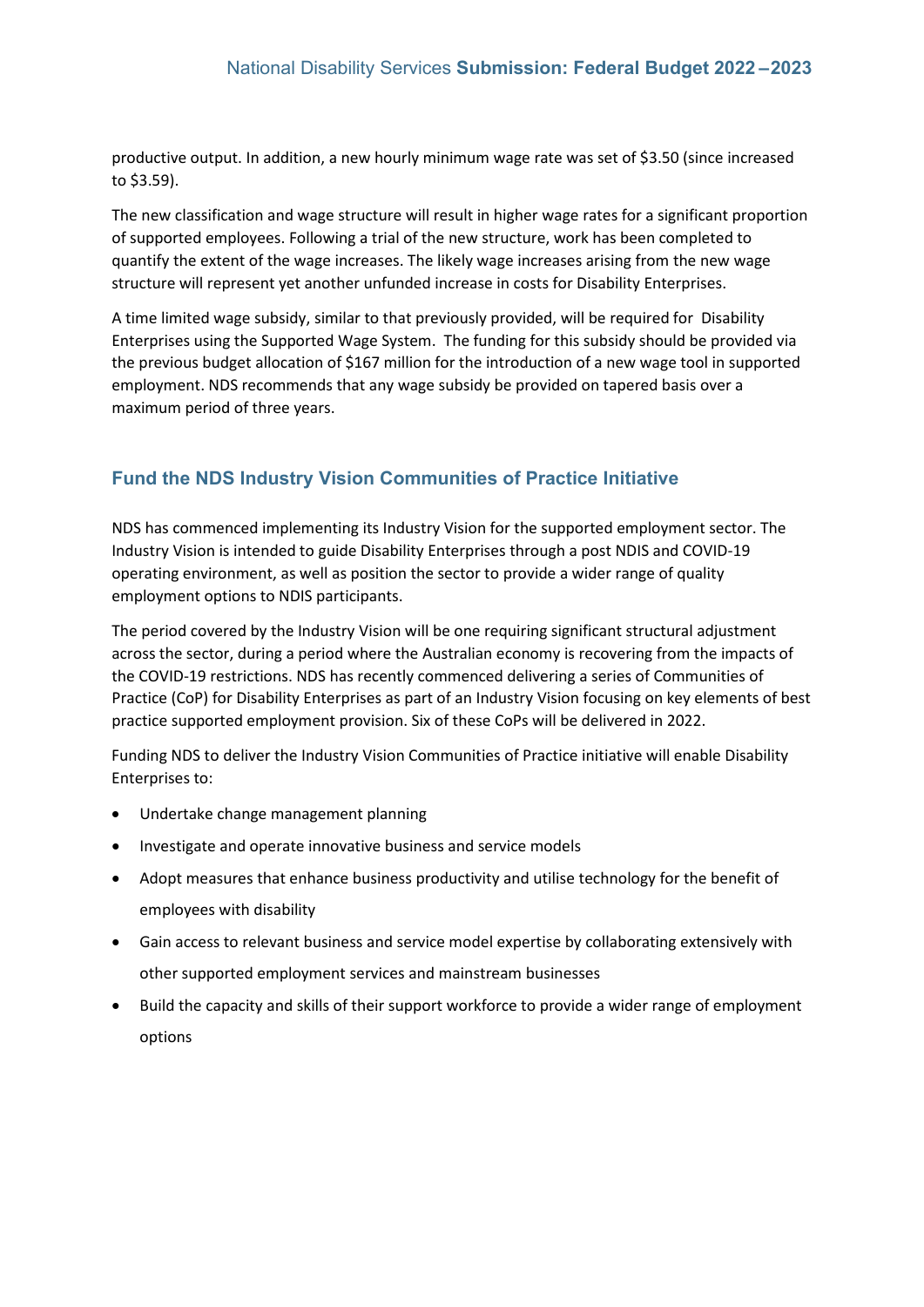productive output. In addition, a new hourly minimum wage rate was set of \$3.50 (since increased to \$3.59).

The new classification and wage structure will result in higher wage rates for a significant proportion of supported employees. Following a trial of the new structure, work has been completed to quantify the extent of the wage increases. The likely wage increases arising from the new wage structure will represent yet another unfunded increase in costs for Disability Enterprises.

A time limited wage subsidy, similar to that previously provided, will be required for Disability Enterprises using the Supported Wage System. The funding for this subsidy should be provided via the previous budget allocation of \$167 million for the introduction of a new wage tool in supported employment. NDS recommends that any wage subsidy be provided on tapered basis over a maximum period of three years.

### **Fund the NDS Industry Vision Communities of Practice Initiative**

NDS has commenced implementing its Industry Vision for the supported employment sector. The Industry Vision is intended to guide Disability Enterprises through a post NDIS and COVID-19 operating environment, as well as position the sector to provide a wider range of quality employment options to NDIS participants.

The period covered by the Industry Vision will be one requiring significant structural adjustment across the sector, during a period where the Australian economy is recovering from the impacts of the COVID-19 restrictions. NDS has recently commenced delivering a series of Communities of Practice (CoP) for Disability Enterprises as part of an Industry Vision focusing on key elements of best practice supported employment provision. Six of these CoPs will be delivered in 2022.

Funding NDS to deliver the Industry Vision Communities of Practice initiative will enable Disability Enterprises to:

- Undertake change management planning
- Investigate and operate innovative business and service models
- Adopt measures that enhance business productivity and utilise technology for the benefit of employees with disability
- Gain access to relevant business and service model expertise by collaborating extensively with other supported employment services and mainstream businesses
- Build the capacity and skills of their support workforce to provide a wider range of employment options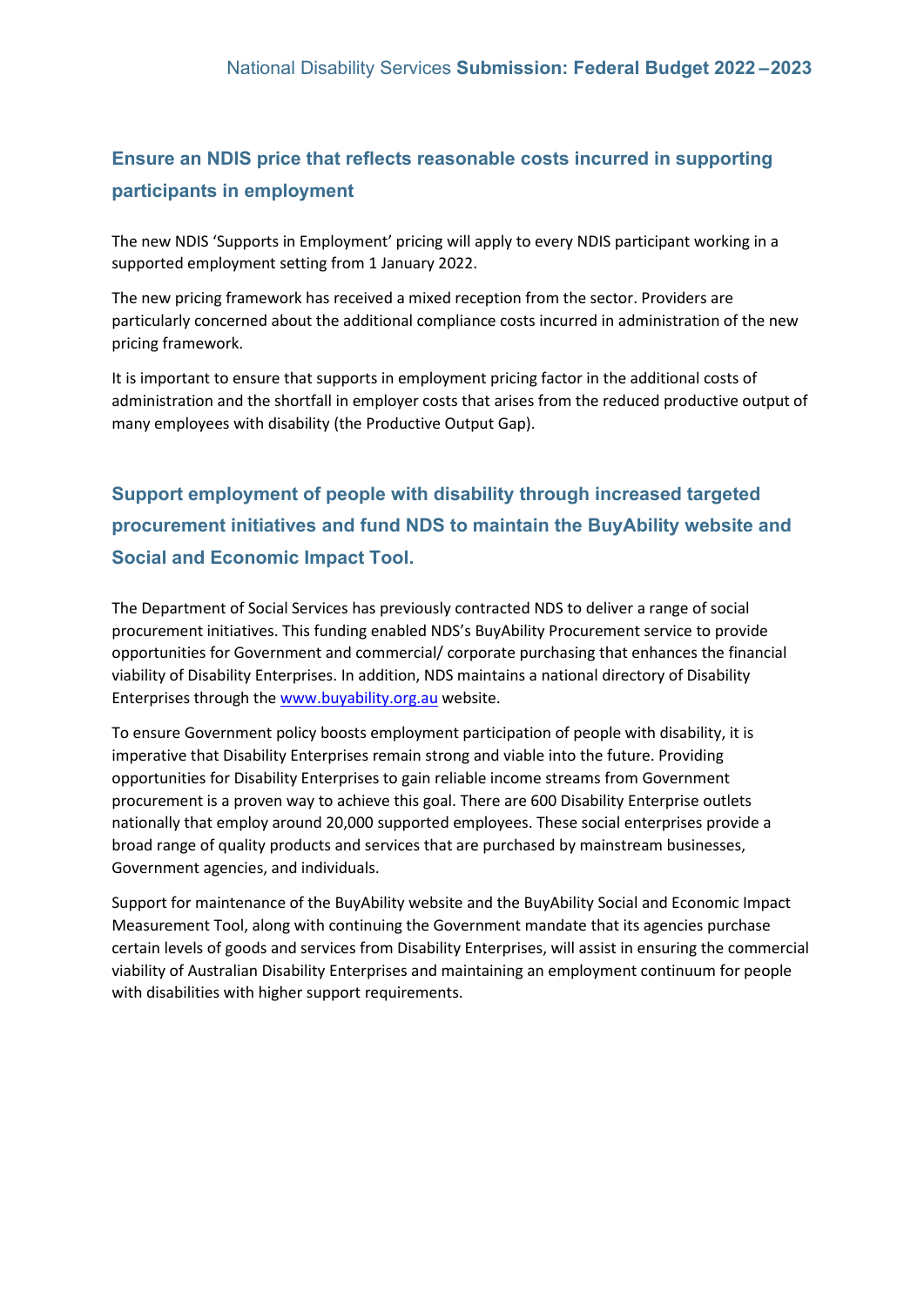### **Ensure an NDIS price that reflects reasonable costs incurred in supporting participants in employment**

The new NDIS 'Supports in Employment' pricing will apply to every NDIS participant working in a supported employment setting from 1 January 2022.

The new pricing framework has received a mixed reception from the sector. Providers are particularly concerned about the additional compliance costs incurred in administration of the new pricing framework.

It is important to ensure that supports in employment pricing factor in the additional costs of administration and the shortfall in employer costs that arises from the reduced productive output of many employees with disability (the Productive Output Gap).

## **Support employment of people with disability through increased targeted procurement initiatives and fund NDS to maintain the BuyAbility website and Social and Economic Impact Tool.**

The Department of Social Services has previously contracted NDS to deliver a range of social procurement initiatives. This funding enabled NDS's BuyAbility Procurement service to provide opportunities for Government and commercial/ corporate purchasing that enhances the financial viability of Disability Enterprises. In addition, NDS maintains a national directory of Disability Enterprises through th[e www.buyability.org.au](http://www.buyability.org.au/) website.

To ensure Government policy boosts employment participation of people with disability, it is imperative that Disability Enterprises remain strong and viable into the future. Providing opportunities for Disability Enterprises to gain reliable income streams from Government procurement is a proven way to achieve this goal. There are 600 Disability Enterprise outlets nationally that employ around 20,000 supported employees. These social enterprises provide a broad range of quality products and services that are purchased by mainstream businesses, Government agencies, and individuals.

Support for maintenance of the BuyAbility website and the BuyAbility Social and Economic Impact Measurement Tool, along with continuing the Government mandate that its agencies purchase certain levels of goods and services from Disability Enterprises, will assist in ensuring the commercial viability of Australian Disability Enterprises and maintaining an employment continuum for people with disabilities with higher support requirements.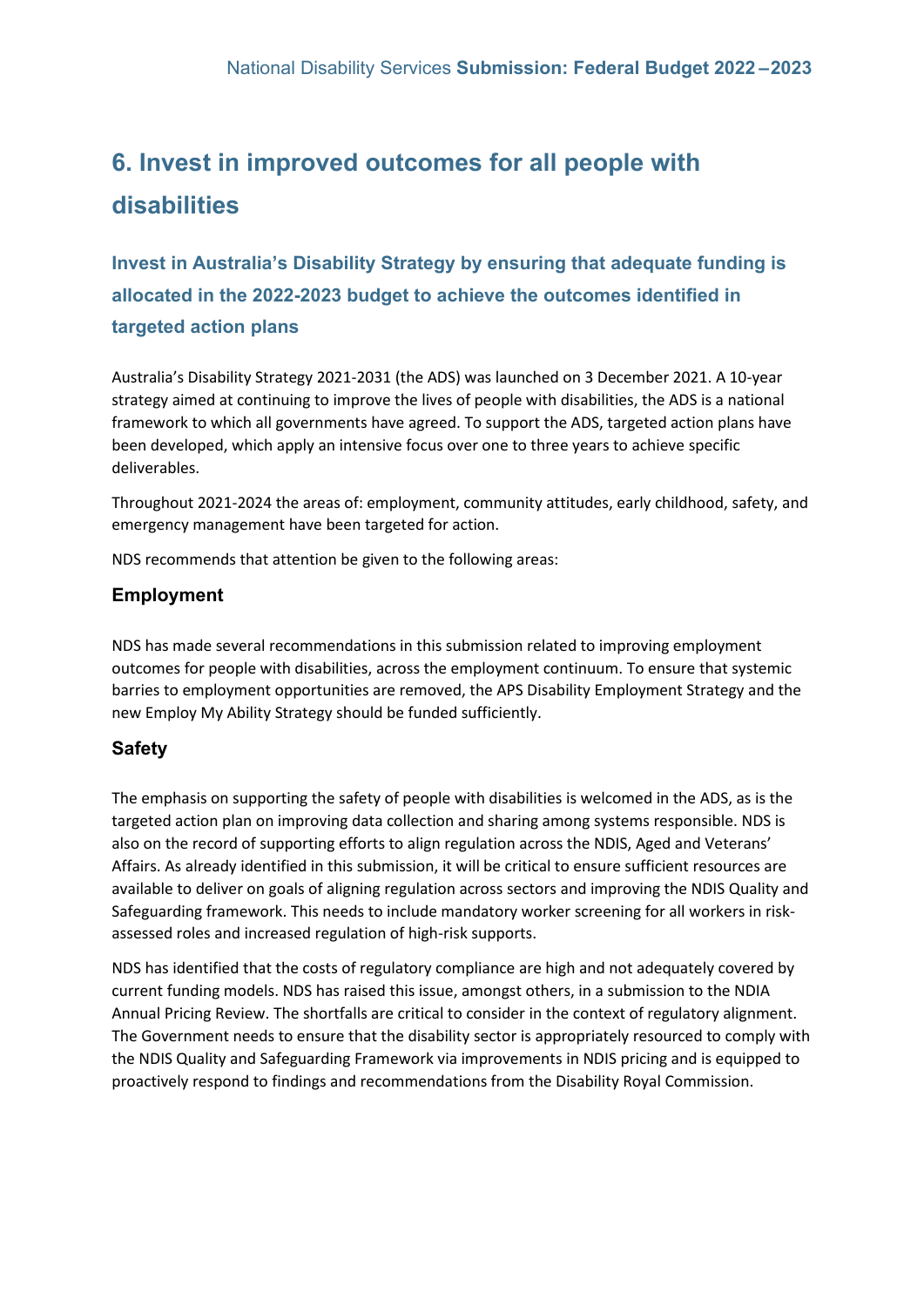## **6. Invest in improved outcomes for all people with disabilities**

**Invest in Australia's Disability Strategy by ensuring that adequate funding is allocated in the 2022-2023 budget to achieve the outcomes identified in targeted action plans** 

Australia's Disability Strategy 2021-2031 (the ADS) was launched on 3 December 2021. A 10-year strategy aimed at continuing to improve the lives of people with disabilities, the ADS is a national framework to which all governments have agreed. To support the ADS, targeted action plans have been developed, which apply an intensive focus over one to three years to achieve specific deliverables.

Throughout 2021-2024 the areas of: employment, community attitudes, early childhood, safety, and emergency management have been targeted for action.

NDS recommends that attention be given to the following areas:

### **Employment**

NDS has made several recommendations in this submission related to improving employment outcomes for people with disabilities, across the employment continuum. To ensure that systemic barries to employment opportunities are removed, the APS Disability Employment Strategy and the new Employ My Ability Strategy should be funded sufficiently.

### **Safety**

The emphasis on supporting the safety of people with disabilities is welcomed in the ADS, as is the targeted action plan on improving data collection and sharing among systems responsible. NDS is also on the record of supporting efforts to align regulation across the NDIS, Aged and Veterans' Affairs. As already identified in this submission, it will be critical to ensure sufficient resources are available to deliver on goals of aligning regulation across sectors and improving the NDIS Quality and Safeguarding framework. This needs to include mandatory worker screening for all workers in riskassessed roles and increased regulation of high-risk supports.

NDS has identified that the costs of regulatory compliance are high and not adequately covered by current funding models. NDS has raised this issue, amongst others, in a submission to the NDIA Annual Pricing Review. The shortfalls are critical to consider in the context of regulatory alignment. The Government needs to ensure that the disability sector is appropriately resourced to comply with the NDIS Quality and Safeguarding Framework via improvements in NDIS pricing and is equipped to proactively respond to findings and recommendations from the Disability Royal Commission.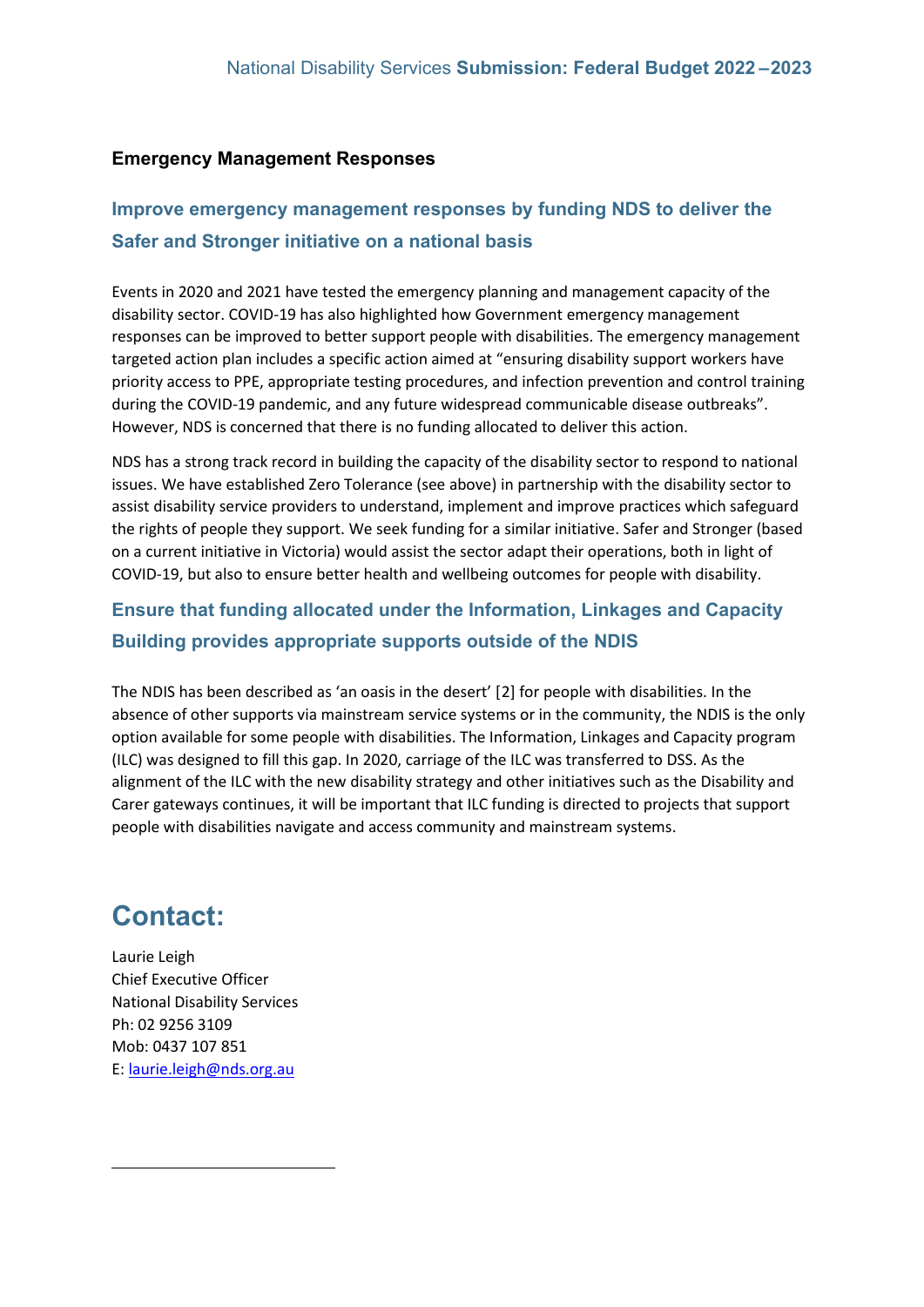#### **Emergency Management Responses**

### **Improve emergency management responses by funding NDS to deliver the Safer and Stronger initiative on a national basis**

Events in 2020 and 2021 have tested the emergency planning and management capacity of the disability sector. COVID-19 has also highlighted how Government emergency management responses can be improved to better support people with disabilities. The emergency management targeted action plan includes a specific action aimed at "ensuring disability support workers have priority access to PPE, appropriate testing procedures, and infection prevention and control training during the COVID-19 pandemic, and any future widespread communicable disease outbreaks". However, NDS is concerned that there is no funding allocated to deliver this action.

NDS has a strong track record in building the capacity of the disability sector to respond to national issues. We have established Zero Tolerance (see above) in partnership with the disability sector to assist disability service providers to understand, implement and improve practices which safeguard the rights of people they support. We seek funding for a similar initiative. Safer and Stronger (based on a current initiative in Victoria) would assist the sector adapt their operations, both in light of COVID-19, but also to ensure better health and wellbeing outcomes for people with disability.

### **Ensure that funding allocated under the Information, Linkages and Capacity Building provides appropriate supports outside of the NDIS**

The NDIS has been described as 'an oasis in the desert' [[2\]](#page-17-0) for people with disabilities. In the absence of other supports via mainstream service systems or in the community, the NDIS is the only option available for some people with disabilities. The Information, Linkages and Capacity program (ILC) was designed to fill this gap. In 2020, carriage of the ILC was transferred to DSS. As the alignment of the ILC with the new disability strategy and other initiatives such as the Disability and Carer gateways continues, it will be important that ILC funding is directed to projects that support people with disabilities navigate and access community and mainstream systems.

## **Contact:**

<span id="page-17-0"></span>Laurie Leigh Chief Executive Officer National Disability Services Ph: 02 [9256 3109](tel:03%208341%204343) Mob: [0437](tel:0437%20107%20851) 107 851 E: [laurie.leigh@nds.org.au](mailto:laurie.leigh@nds.org.au)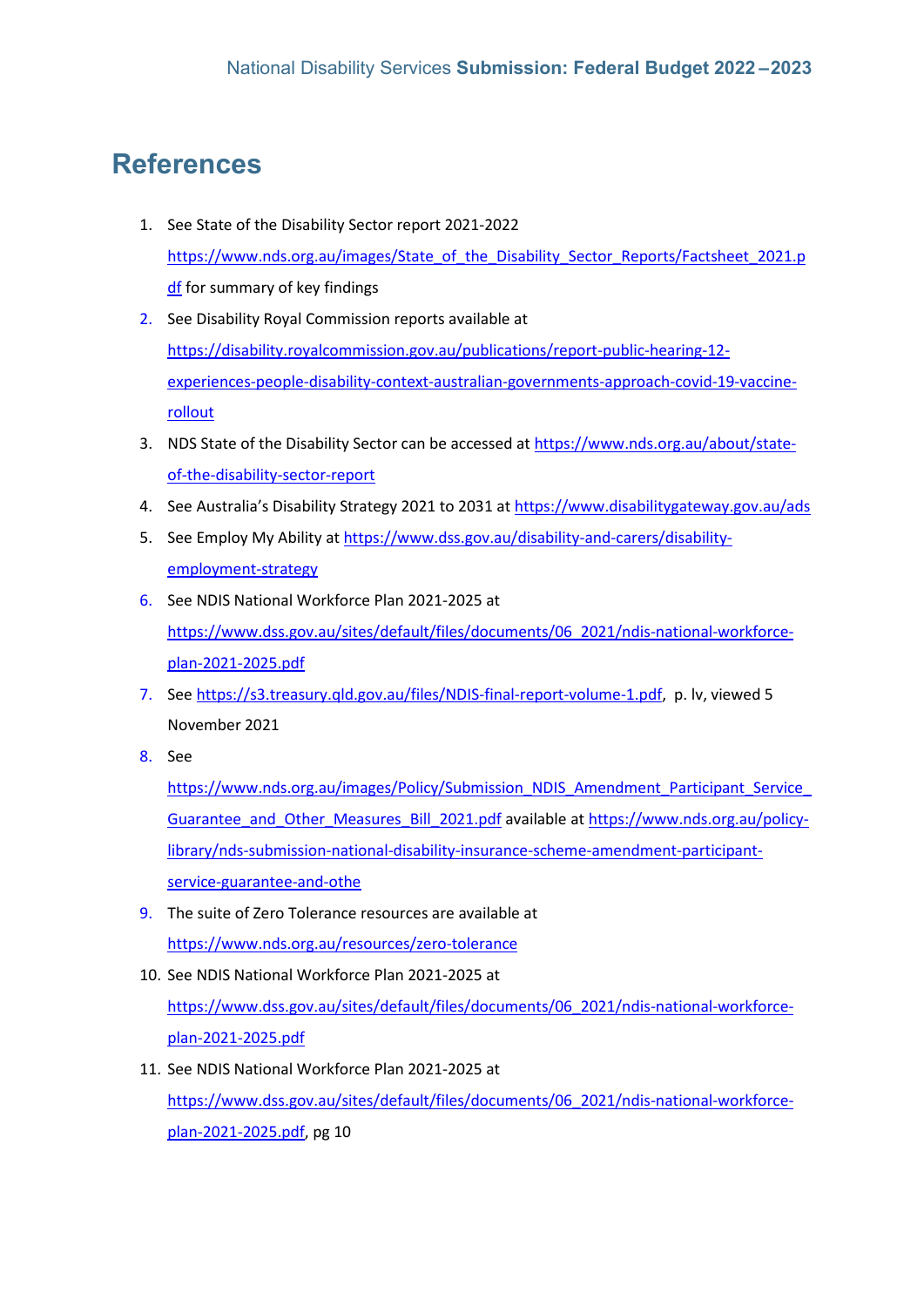## **References**

- 1. See State of the Disability Sector report 2021-2022 [https://www.nds.org.au/images/State\\_of\\_the\\_Disability\\_Sector\\_Reports/Factsheet\\_2021.p](https://www.nds.org.au/images/State_of_the_Disability_Sector_Reports/Factsheet_2021.pdf) [df](https://www.nds.org.au/images/State_of_the_Disability_Sector_Reports/Factsheet_2021.pdf) for summary of key findings
- 2. See Disability Royal Commission reports available at [https://disability.royalcommission.gov.au/publications/report-public-hearing-12](https://disability.royalcommission.gov.au/publications/report-public-hearing-12-experiences-people-disability-context-australian-governments-approach-covid-19-vaccine-rollout) [experiences-people-disability-context-australian-governments-approach-covid-19-vaccine](https://disability.royalcommission.gov.au/publications/report-public-hearing-12-experiences-people-disability-context-australian-governments-approach-covid-19-vaccine-rollout)[rollout](https://disability.royalcommission.gov.au/publications/report-public-hearing-12-experiences-people-disability-context-australian-governments-approach-covid-19-vaccine-rollout)
- 3. NDS State of the Disability Sector can be accessed at [https://www.nds.org.au/about/state](https://www.nds.org.au/about/state-of-the-disability-sector-report)[of-the-disability-sector-report](https://www.nds.org.au/about/state-of-the-disability-sector-report)
- 4. See Australia's Disability Strategy 2021 to 2031 at https://www.disabilitygateway.gov.au/ads
- 5. See Employ My Ability at [https://www.dss.gov.au/disability-and-carers/disability](https://www.dss.gov.au/disability-and-carers/disability-employment-strategy)[employment-strategy](https://www.dss.gov.au/disability-and-carers/disability-employment-strategy)
- 6. See NDIS National Workforce Plan 2021-2025 at [https://www.dss.gov.au/sites/default/files/documents/06\\_2021/ndis-national-workforce](https://www.dss.gov.au/sites/default/files/documents/06_2021/ndis-national-workforce-plan-2021-2025.pdf)[plan-2021-2025.pdf](https://www.dss.gov.au/sites/default/files/documents/06_2021/ndis-national-workforce-plan-2021-2025.pdf)
- 7. Se[e https://s3.treasury.qld.gov.au/files/NDIS-final-report-volume-1.pdf,](https://s3.treasury.qld.gov.au/files/NDIS-final-report-volume-1.pdf) p. lv, viewed 5 November 2021
- 8. See

[https://www.nds.org.au/images/Policy/Submission\\_NDIS\\_Amendment\\_Participant\\_Service\\_](https://www.nds.org.au/images/Policy/Submission_NDIS_Amendment_Participant_Service_Guarantee_and_Other_Measures_Bill_2021.pdf) [Guarantee\\_and\\_Other\\_Measures\\_Bill\\_2021.pdf](https://www.nds.org.au/images/Policy/Submission_NDIS_Amendment_Participant_Service_Guarantee_and_Other_Measures_Bill_2021.pdf) available at [https://www.nds.org.au/policy](https://www.nds.org.au/policy-library/nds-submission-national-disability-insurance-scheme-amendment-participant-service-guarantee-and-othe)[library/nds-submission-national-disability-insurance-scheme-amendment-participant](https://www.nds.org.au/policy-library/nds-submission-national-disability-insurance-scheme-amendment-participant-service-guarantee-and-othe)[service-guarantee-and-othe](https://www.nds.org.au/policy-library/nds-submission-national-disability-insurance-scheme-amendment-participant-service-guarantee-and-othe)

- 9. The suite of Zero Tolerance resources are available at <https://www.nds.org.au/resources/zero-tolerance>
- 10. See NDIS National Workforce Plan 2021-2025 at [https://www.dss.gov.au/sites/default/files/documents/06\\_2021/ndis-national-workforce](https://www.dss.gov.au/sites/default/files/documents/06_2021/ndis-national-workforce-plan-2021-2025.pdf)[plan-2021-2025.pdf](https://www.dss.gov.au/sites/default/files/documents/06_2021/ndis-national-workforce-plan-2021-2025.pdf)
- 11. See NDIS National Workforce Plan 2021-2025 at [https://www.dss.gov.au/sites/default/files/documents/06\\_2021/ndis-national-workforce](https://www.dss.gov.au/sites/default/files/documents/06_2021/ndis-national-workforce-plan-2021-2025.pdf)[plan-2021-2025.pdf,](https://www.dss.gov.au/sites/default/files/documents/06_2021/ndis-national-workforce-plan-2021-2025.pdf) pg 10